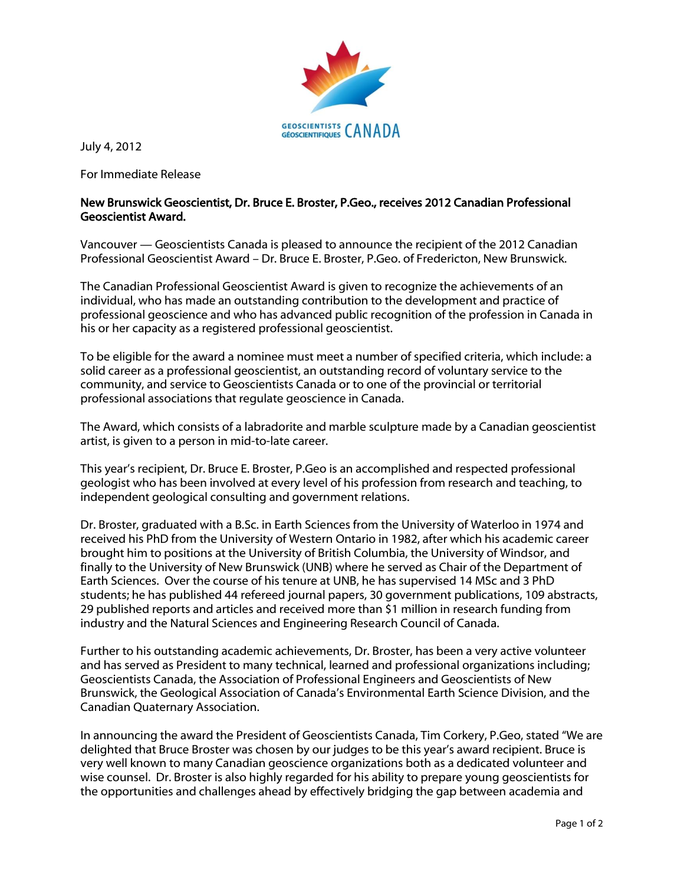

July 4, 2012

For Immediate Release

## New Brunswick Geoscientist, Dr. Bruce E. Broster, P.Geo., receives 2012 Canadian Professional Geoscientist Award.

Vancouver — Geoscientists Canada is pleased to announce the recipient of the 2012 Canadian Professional Geoscientist Award – Dr. Bruce E. Broster, P.Geo. of Fredericton, New Brunswick.

The Canadian Professional Geoscientist Award is given to recognize the achievements of an individual, who has made an outstanding contribution to the development and practice of professional geoscience and who has advanced public recognition of the profession in Canada in his or her capacity as a registered professional geoscientist.

To be eligible for the award a nominee must meet a number of specified criteria, which include: a solid career as a professional geoscientist, an outstanding record of voluntary service to the community, and service to Geoscientists Canada or to one of the provincial or territorial professional associations that regulate geoscience in Canada.

The Award, which consists of a labradorite and marble sculpture made by a Canadian geoscientist artist, is given to a person in mid-to-late career.

This year's recipient, Dr. Bruce E. Broster, P.Geo is an accomplished and respected professional geologist who has been involved at every level of his profession from research and teaching, to independent geological consulting and government relations.

Dr. Broster, graduated with a B.Sc. in Earth Sciences from the University of Waterloo in 1974 and received his PhD from the University of Western Ontario in 1982, after which his academic career brought him to positions at the University of British Columbia, the University of Windsor, and finally to the University of New Brunswick (UNB) where he served as Chair of the Department of Earth Sciences. Over the course of his tenure at UNB, he has supervised 14 MSc and 3 PhD students; he has published 44 refereed journal papers, 30 government publications, 109 abstracts, 29 published reports and articles and received more than \$1 million in research funding from industry and the Natural Sciences and Engineering Research Council of Canada.

Further to his outstanding academic achievements, Dr. Broster, has been a very active volunteer and has served as President to many technical, learned and professional organizations including; Geoscientists Canada, the Association of Professional Engineers and Geoscientists of New Brunswick, the Geological Association of Canada's Environmental Earth Science Division, and the Canadian Quaternary Association.

In announcing the award the President of Geoscientists Canada, Tim Corkery, P.Geo, stated "We are delighted that Bruce Broster was chosen by our judges to be this year's award recipient. Bruce is very well known to many Canadian geoscience organizations both as a dedicated volunteer and wise counsel. Dr. Broster is also highly regarded for his ability to prepare young geoscientists for the opportunities and challenges ahead by effectively bridging the gap between academia and